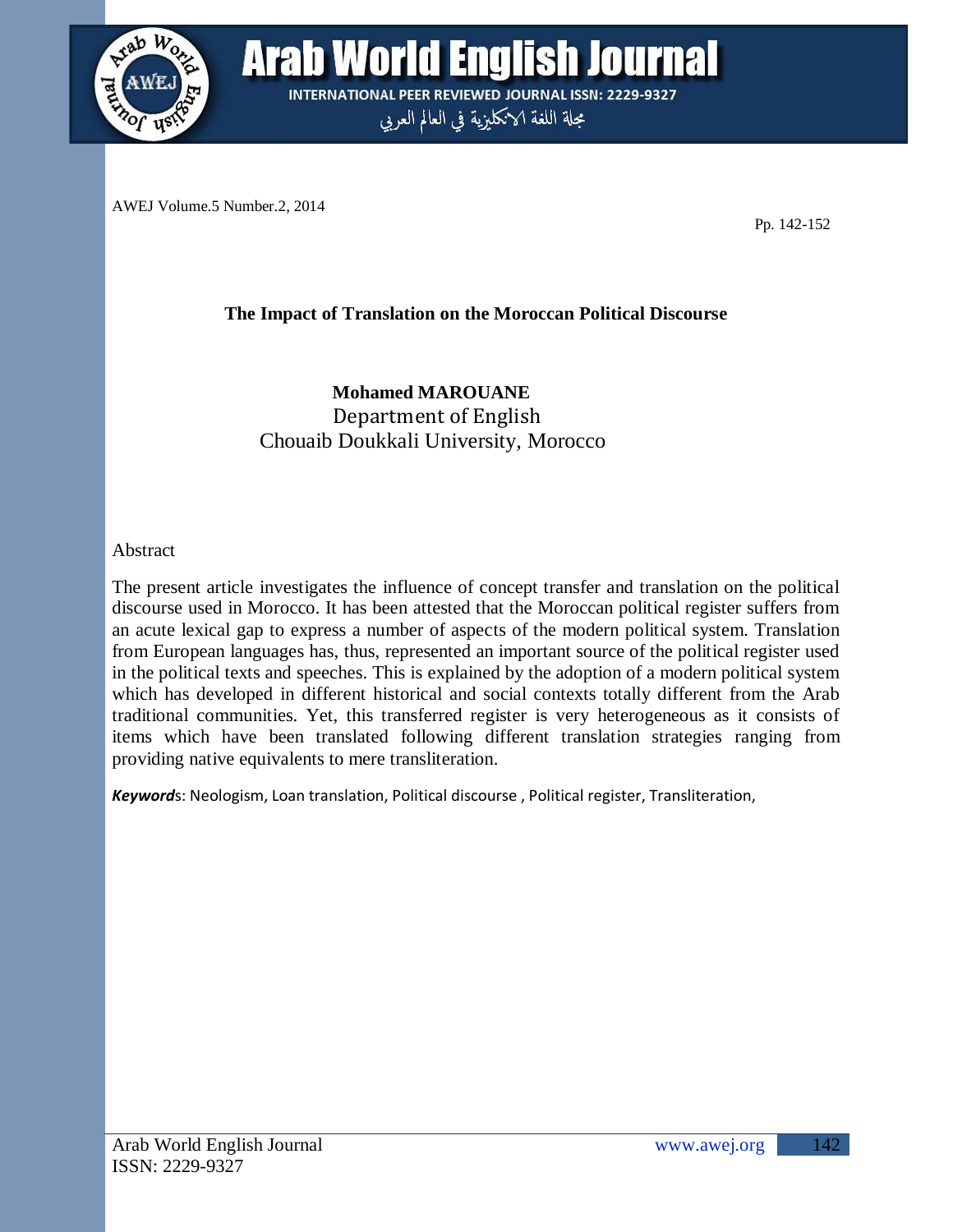

**Arab World English Journal INTERNATIONAL PEER REVIEWED JOURNAL ISSN: 2229-9327** 

مجلة اللغة الانكليزية في العالم العربي

AWEJ Volume.5 Number.2, 2014

Pp. 142-152

## **The Impact of Translation on the Moroccan Political Discourse**

**Mohamed MAROUANE** Department of English Chouaib Doukkali University, Morocco

Abstract

The present article investigates the influence of concept transfer and translation on the political discourse used in Morocco. It has been attested that the Moroccan political register suffers from an acute lexical gap to express a number of aspects of the modern political system. Translation from European languages has, thus, represented an important source of the political register used in the political texts and speeches. This is explained by the adoption of a modern political system which has developed in different historical and social contexts totally different from the Arab traditional communities. Yet, this transferred register is very heterogeneous as it consists of items which have been translated following different translation strategies ranging from providing native equivalents to mere transliteration.

*Keyword*s: Neologism, Loan translation, Political discourse , Political register, Transliteration,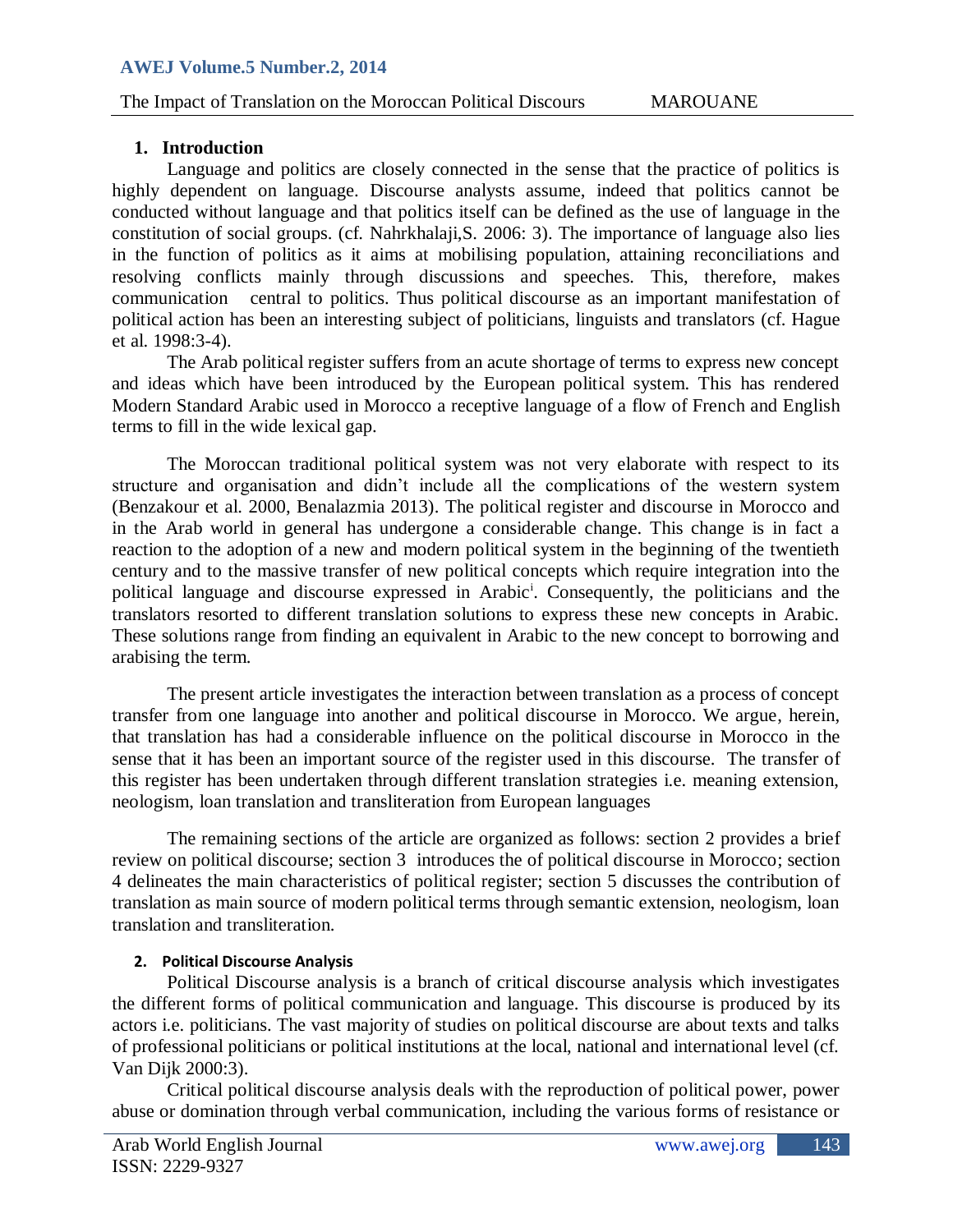# The Impact of Translation on the Moroccan Political Discours MAROUANE

### **1. Introduction**

Language and politics are closely connected in the sense that the practice of politics is highly dependent on language. Discourse analysts assume, indeed that politics cannot be conducted without language and that politics itself can be defined as the use of language in the constitution of social groups. (cf. Nahrkhalaji,S. 2006: 3). The importance of language also lies in the function of politics as it aims at mobilising population, attaining reconciliations and resolving conflicts mainly through discussions and speeches. This, therefore, makes communication central to politics. Thus political discourse as an important manifestation of political action has been an interesting subject of politicians, linguists and translators (cf. Hague et al. 1998:3-4).

The Arab political register suffers from an acute shortage of terms to express new concept and ideas which have been introduced by the European political system. This has rendered Modern Standard Arabic used in Morocco a receptive language of a flow of French and English terms to fill in the wide lexical gap.

The Moroccan traditional political system was not very elaborate with respect to its structure and organisation and didn"t include all the complications of the western system (Benzakour et al. 2000, Benalazmia 2013). The political register and discourse in Morocco and in the Arab world in general has undergone a considerable change. This change is in fact a reaction to the adoption of a new and modern political system in the beginning of the twentieth century and to the massive transfer of new political concepts which require integration into the political language and discourse expressed in Arabic<sup>i</sup>. Consequently, the politicians and the translators resorted to different translation solutions to express these new concepts in Arabic. These solutions range from finding an equivalent in Arabic to the new concept to borrowing and arabising the term.

The present article investigates the interaction between translation as a process of concept transfer from one language into another and political discourse in Morocco. We argue, herein, that translation has had a considerable influence on the political discourse in Morocco in the sense that it has been an important source of the register used in this discourse. The transfer of this register has been undertaken through different translation strategies i.e. meaning extension, neologism, loan translation and transliteration from European languages

The remaining sections of the article are organized as follows: section 2 provides a brief review on political discourse; section 3 introduces the of political discourse in Morocco; section 4 delineates the main characteristics of political register; section 5 discusses the contribution of translation as main source of modern political terms through semantic extension, neologism, loan translation and transliteration.

#### **2. Political Discourse Analysis**

Political Discourse analysis is a branch of critical discourse analysis which investigates the different forms of political communication and language. This discourse is produced by its actors i.e. politicians. The vast majority of studies on political discourse are about texts and talks of professional politicians or political institutions at the local, national and international level (cf. Van Dijk 2000:3).

Critical political discourse analysis deals with the reproduction of political power, power abuse or domination through verbal communication, including the various forms of resistance or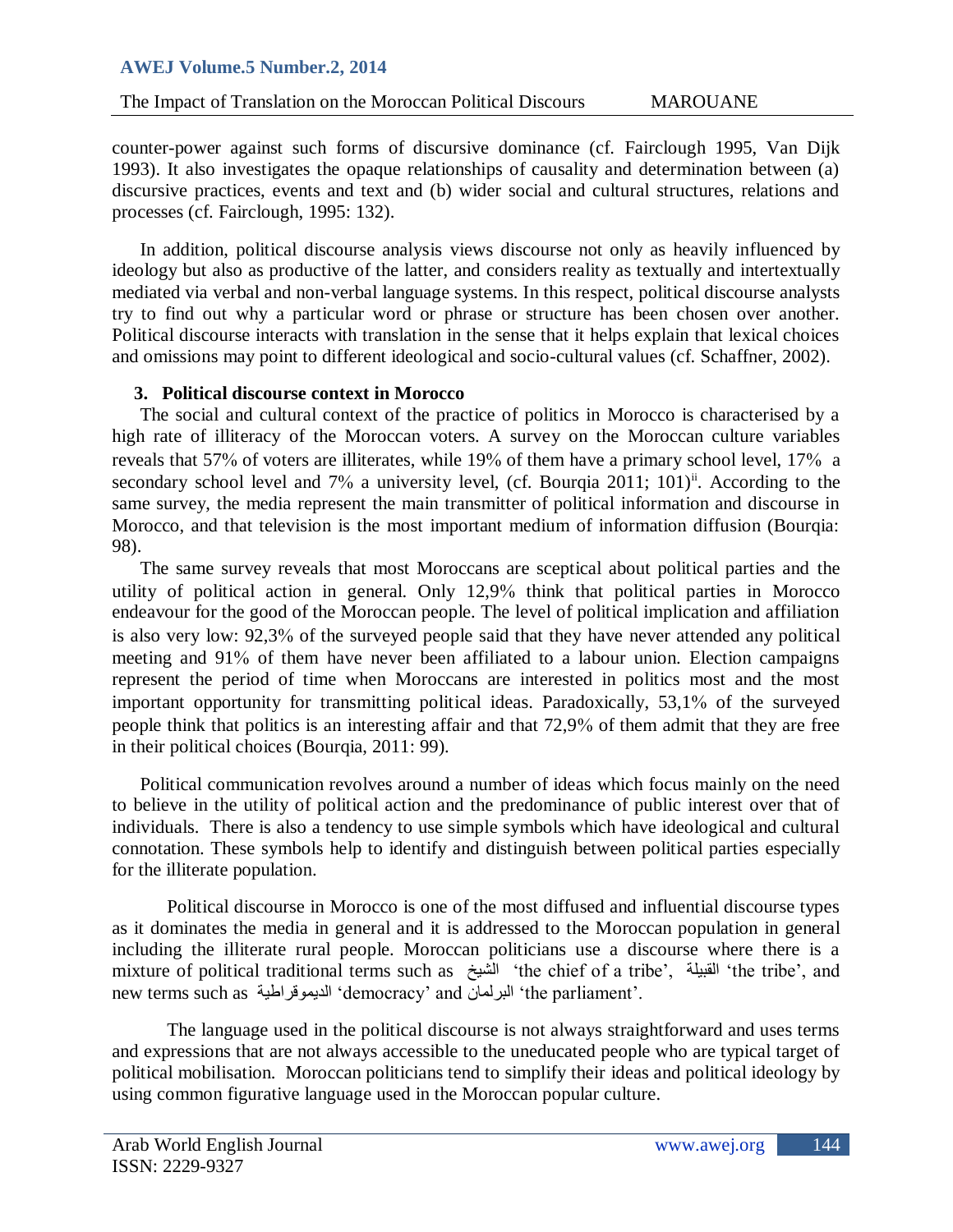# The Impact of Translation on the Moroccan Political Discours MAROUANE

counter-power against such forms of discursive dominance (cf. Fairclough 1995, Van Dijk 1993). It also investigates the opaque relationships of causality and determination between (a) discursive practices, events and text and (b) wider social and cultural structures, relations and processes (cf. Fairclough, 1995: 132).

In addition, political discourse analysis views discourse not only as heavily influenced by ideology but also as productive of the latter, and considers reality as textually and intertextually mediated via verbal and non-verbal language systems. In this respect, political discourse analysts try to find out why a particular word or phrase or structure has been chosen over another. Political discourse interacts with translation in the sense that it helps explain that lexical choices and omissions may point to different ideological and socio-cultural values (cf. Schaffner, 2002).

## **3. Political discourse context in Morocco**

The social and cultural context of the practice of politics in Morocco is characterised by a high rate of illiteracy of the Moroccan voters. A survey on the Moroccan culture variables reveals that 57% of voters are illiterates, while 19% of them have a primary school level, 17% a secondary school level and 7% a university level, (cf. Bourqia 2011; 101)<sup>ii</sup>. According to the same survey, the media represent the main transmitter of political information and discourse in Morocco, and that television is the most important medium of information diffusion (Bourqia: 98).

The same survey reveals that most Moroccans are sceptical about political parties and the utility of political action in general. Only  $12.9\%$  think that political parties in Morocco endeavour for the good of the Moroccan people. The level of political implication and affiliation is also very low: 92,3% of the surveyed people said that they have never attended any political meeting and 91% of them have never been affiliated to a labour union. Election campaigns represent the period of time when Moroccans are interested in politics most and the most important opportunity for transmitting political ideas. Paradoxically, 53,1% of the surveyed people think that politics is an interesting affair and that 72,9 of them admit that they are free in their political choices (Bourqia, 2011: 99).

Political communication revolves around a number of ideas which focus mainly on the need to believe in the utility of political action and the predominance of public interest over that of individuals. There is also a tendency to use simple symbols which have ideological and cultural connotation. These symbols help to identify and distinguish between political parties especially for the illiterate population.

Political discourse in Morocco is one of the most diffused and influential discourse types as it dominates the media in general and it is addressed to the Moroccan population in general including the illiterate rural people. Moroccan politicians use a discourse where there is a mixture of political traditional terms such as أَلْشَيْخ "the chief of a tribe", إلى "the tribe", and new terms such as حٍوىلراطٌالذ" democracy" and الثرلواى" the parliament".

The language used in the political discourse is not always straightforward and uses terms and expressions that are not always accessible to the uneducated people who are typical target of political mobilisation. Moroccan politicians tend to simplify their ideas and political ideology by using common figurative language used in the Moroccan popular culture.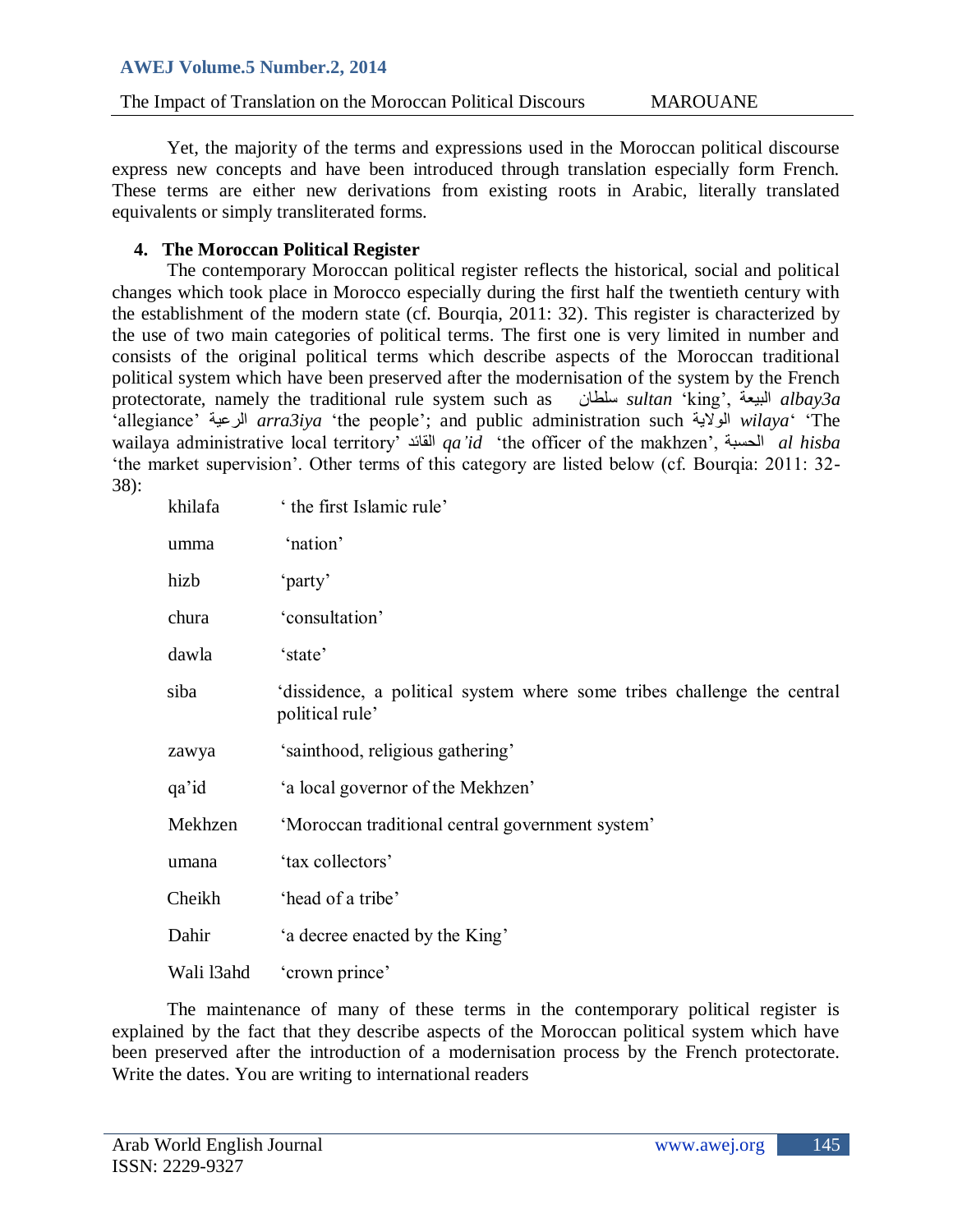The Impact of Translation on the Moroccan Political Discours MAROUANE

Yet, the majority of the terms and expressions used in the Moroccan political discourse express new concepts and have been introduced through translation especially form French. These terms are either new derivations from existing roots in Arabic, literally translated equivalents or simply transliterated forms.

## **4. The Moroccan Political Register**

The contemporary Moroccan political register reflects the historical, social and political changes which took place in Morocco especially during the first half the twentieth century with the establishment of the modern state (cf. Bourqia, 2011: 32). This register is characterized by the use of two main categories of political terms. The first one is very limited in number and consists of the original political terms which describe aspects of the Moroccan traditional political system which have been preserved after the modernisation of the system by the French protectorate, namely the traditional rule system such as ضلطاى *sultan* "king", عحٍالث *albay3a* "allegiance" حٍالرع *arra3iya* "the people"; and public administration such حٌالىال *wilaya*" "The wailaya administrative local territory" المائذ *qa'id* "the officer of the makhzen", الحطثح *al hisba*  'the market supervision'. Other terms of this category are listed below (cf. Bourqia: 2011: 32-38):

| khilafa    | the first Islamic rule'                                                                   |
|------------|-------------------------------------------------------------------------------------------|
| umma       | 'nation'                                                                                  |
| hizb       | 'party'                                                                                   |
| chura      | 'consultation'                                                                            |
| dawla      | 'state'                                                                                   |
| siba       | dissidence, a political system where some tribes challenge the central<br>political rule' |
| zawya      | 'sainthood, religious gathering'                                                          |
| qa'id      | 'a local governor of the Mekhzen'                                                         |
| Mekhzen    | 'Moroccan traditional central government system'                                          |
| umana      | 'tax collectors'                                                                          |
| Cheikh     | 'head of a tribe'                                                                         |
| Dahir      | 'a decree enacted by the King'                                                            |
| Wali 13ahd | 'crown prince'                                                                            |

The maintenance of many of these terms in the contemporary political register is explained by the fact that they describe aspects of the Moroccan political system which have been preserved after the introduction of a modernisation process by the French protectorate. Write the dates. You are writing to international readers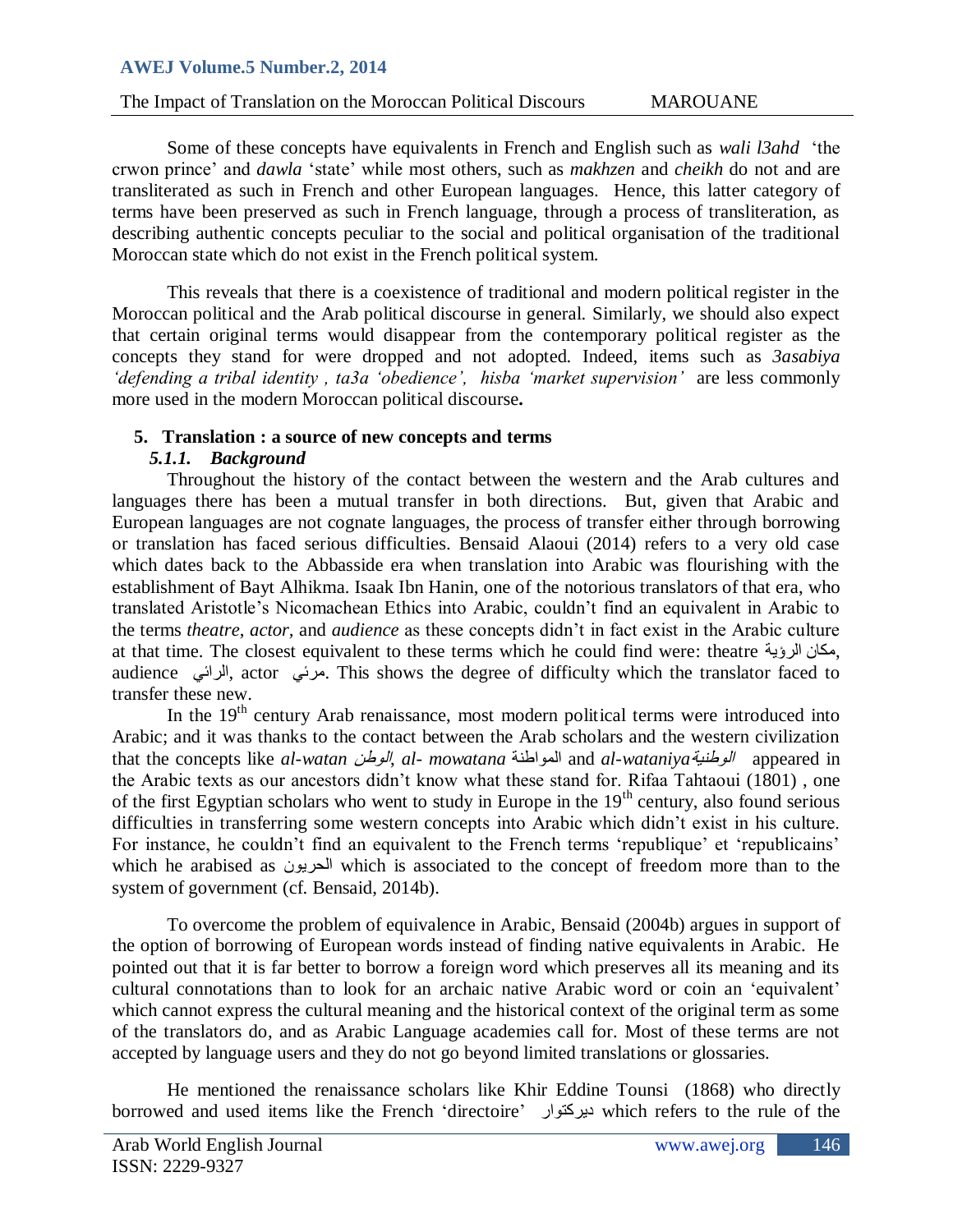# The Impact of Translation on the Moroccan Political Discours MAROUANE

Some of these concepts have equivalents in French and English such as *wali l3ahd* "the crwon prince" and *dawla* "state" while most others, such as *makhzen* and *cheikh* do not and are transliterated as such in French and other European languages. Hence, this latter category of terms have been preserved as such in French language, through a process of transliteration, as describing authentic concepts peculiar to the social and political organisation of the traditional Moroccan state which do not exist in the French political system.

This reveals that there is a coexistence of traditional and modern political register in the Moroccan political and the Arab political discourse in general. Similarly, we should also expect that certain original terms would disappear from the contemporary political register as the concepts they stand for were dropped and not adopted. Indeed, items such as *3asabiya* 'defending a tribal identity, ta3a 'obedience', hisba 'market supervision' are less commonly more used in the modern Moroccan political discourse*.*

## **5. Translation : a source of new concepts and terms**

## *5.1.1. Background*

Throughout the history of the contact between the western and the Arab cultures and languages there has been a mutual transfer in both directions. But, given that Arabic and European languages are not cognate languages, the process of transfer either through borrowing or translation has faced serious difficulties. Bensaid Alaoui (2014) refers to a very old case which dates back to the Abbasside era when translation into Arabic was flourishing with the establishment of Bayt Alhikma. Isaak Ibn Hanin, one of the notorious translators of that era, who translated Aristotle"s Nicomachean Ethics into Arabic, couldn"t find an equivalent in Arabic to the terms *theatre*, *actor,* and *audience* as these concepts didn"t in fact exist in the Arabic culture at that time. The closest equivalent to these terms which he could find were: theatre مكان الرؤية, audience ألرائي. actor مرئى. This shows the degree of difficulty which the translator faced to transfer these new.

In the 19<sup>th</sup> century Arab renaissance, most modern political terms were introduced into Arabic; and it was thanks to the contact between the Arab scholars and the western civilization that the concepts like *al-watan الوطنية al- mowatana* المواطنة and *al-wataniya* الوطنية appeared in the Arabic texts as our ancestors didn"t know what these stand for. Rifaa Tahtaoui (1801) , one of the first Egyptian scholars who went to study in Europe in the  $19<sup>th</sup>$  century, also found serious difficulties in transferring some western concepts into Arabic which didn"t exist in his culture. For instance, he couldn't find an equivalent to the French terms 'republique' et 'republicains' which he arabised as الحريون which is associated to the concept of freedom more than to the system of government (cf. Bensaid, 2014b).

To overcome the problem of equivalence in Arabic, Bensaid (2004b) argues in support of the option of borrowing of European words instead of finding native equivalents in Arabic. He pointed out that it is far better to borrow a foreign word which preserves all its meaning and its cultural connotations than to look for an archaic native Arabic word or coin an "equivalent" which cannot express the cultural meaning and the historical context of the original term as some of the translators do, and as Arabic Language academies call for. Most of these terms are not accepted by language users and they do not go beyond limited translations or glossaries.

He mentioned the renaissance scholars like Khir Eddine Tounsi (1868) who directly borrowed and used items like the French "directoire" ركرىارٌد which refers to the rule of the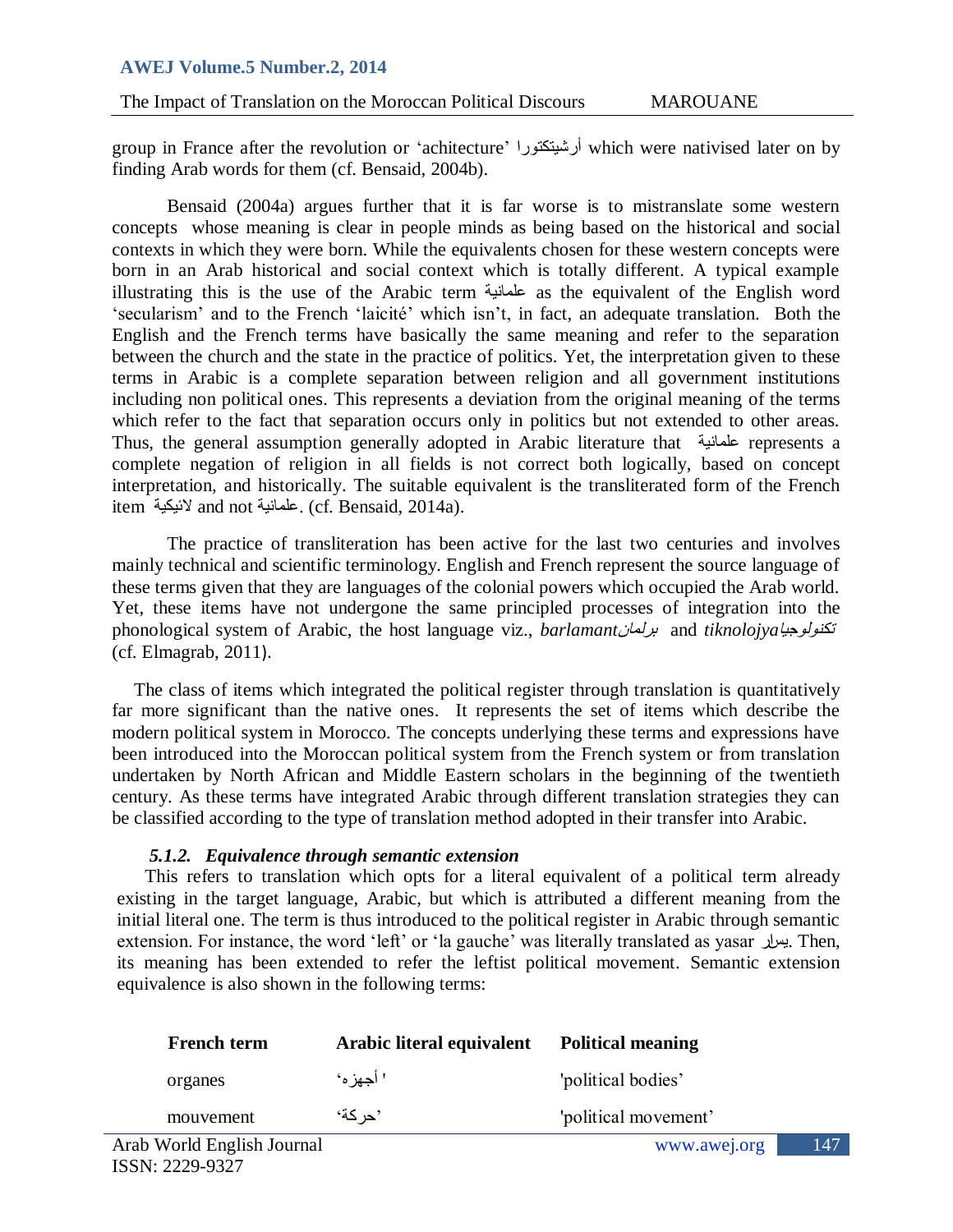The Impact of Translation on the Moroccan Political Discours MAROUANE

group in France after the revolution or "achitecture" ركرىراٍأرش which were nativised later on by finding Arab words for them (cf. Bensaid, 2004b).

Bensaid (2004a) argues further that it is far worse is to mistranslate some western concepts whose meaning is clear in people minds as being based on the historical and social contexts in which they were born. While the equivalents chosen for these western concepts were born in an Arab historical and social context which is totally different. A typical example illustrating this is the use of the Arabic term عَلَّمَانِيَة as the equivalent of the English word 'secularism' and to the French 'laicité' which isn't, in fact, an adequate translation. Both the English and the French terms have basically the same meaning and refer to the separation between the church and the state in the practice of politics. Yet, the interpretation given to these terms in Arabic is a complete separation between religion and all government institutions including non political ones. This represents a deviation from the original meaning of the terms which refer to the fact that separation occurs only in politics but not extended to other areas. Thus, the general assumption generally adopted in Arabic literature that حًٍعلوا represents a complete negation of religion in all fields is not correct both logically, based on concept interpretation, and historically. The suitable equivalent is the transliterated form of the French item لأنيكية and not حلمانية (cf. Bensaid, 2014a).

The practice of transliteration has been active for the last two centuries and involves mainly technical and scientific terminology. English and French represent the source language of these terms given that they are languages of the colonial powers which occupied the Arab world. Yet, these items have not undergone the same principled processes of integration into the phonological system of Arabic, the host language viz., *barlamant* برل*مان* and *tiknolojya* (cf. Elmagrab, 2011).

The class of items which integrated the political register through translation is quantitatively far more significant than the native ones. It represents the set of items which describe the modern political system in Morocco. The concepts underlying these terms and expressions have been introduced into the Moroccan political system from the French system or from translation undertaken by North African and Middle Eastern scholars in the beginning of the twentieth century. As these terms have integrated Arabic through different translation strategies they can be classified according to the type of translation method adopted in their transfer into Arabic.

#### *5.1.2. Equivalence through semantic extension*

This refers to translation which opts for a literal equivalent of a political term already existing in the target language, Arabic, but which is attributed a different meaning from the initial literal one. The term is thus introduced to the political register in Arabic through semantic extension. For instance, the word "left" or "la gauche" was literally translated as yasar صارٌ. Then, its meaning has been extended to refer the leftist political movement. Semantic extension equivalence is also shown in the following terms:

| <b>French term</b>         | Arabic literal equivalent | <b>Political meaning</b> |     |
|----------------------------|---------------------------|--------------------------|-----|
| organes                    | ' أجهز ه'                 | 'political bodies'       |     |
| mouvement                  | 'حر كة'                   | 'political movement'     |     |
| Arab World English Journal |                           | www.awej.org             | 147 |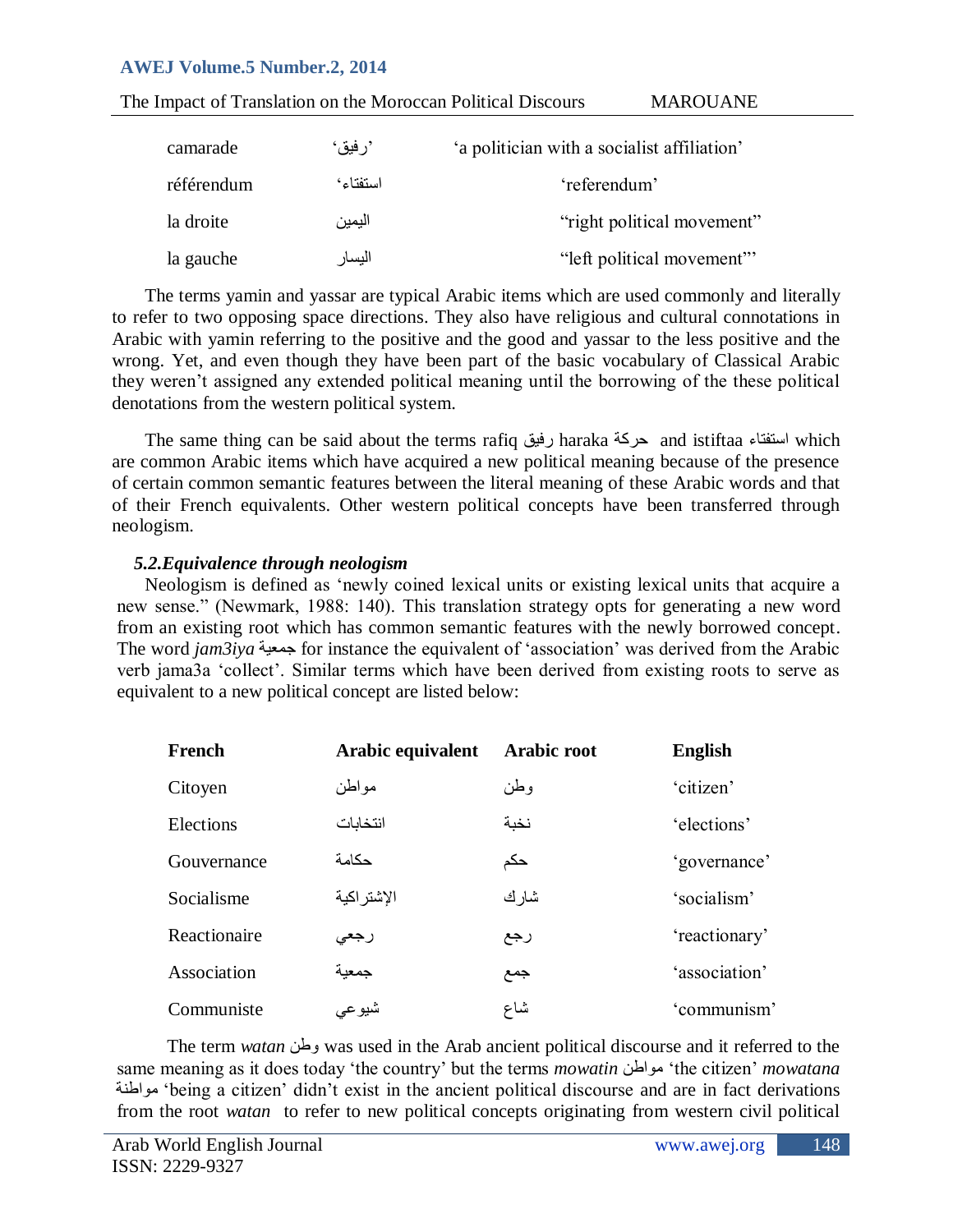| The Impact of Translation on the Moroccan Political Discours |          |                                             | <b>MAROUANE</b>            |
|--------------------------------------------------------------|----------|---------------------------------------------|----------------------------|
| camarade                                                     | 'ر فيق'  | 'a politician with a socialist affiliation' |                            |
| référendum                                                   | استفتاء٬ | 'referendum'                                |                            |
| la droite                                                    | اليمين   |                                             | "right political movement" |
| la gauche                                                    | اليسار   |                                             | "left political movement"  |

The terms yamin and yassar are typical Arabic items which are used commonly and literally to refer to two opposing space directions. They also have religious and cultural connotations in Arabic with yamin referring to the positive and the good and yassar to the less positive and the wrong. Yet, and even though they have been part of the basic vocabulary of Classical Arabic they weren"t assigned any extended political meaning until the borrowing of the these political denotations from the western political system.

The same thing can be said about the terms rafiq رفيق haraka رفيق taraka حركة معلم المستفتاء which are common Arabic items which have acquired a new political meaning because of the presence of certain common semantic features between the literal meaning of these Arabic words and that of their French equivalents. Other western political concepts have been transferred through neologism.

### *5.2.Equivalence through neologism*

Neologism is defined as "newly coined lexical units or existing lexical units that acquire a new sense." (Newmark, 1988: 140). This translation strategy opts for generating a new word from an existing root which has common semantic features with the newly borrowed concept. The word *jam3iya* حِمعية for instance the equivalent of 'association' was derived from the Arabic verb jama3a "collect". Similar terms which have been derived from existing roots to serve as equivalent to a new political concept are listed below:

| French       | Arabic equivalent | Arabic root | <b>English</b> |
|--------------|-------------------|-------------|----------------|
| Citoyen      | مواطن             | وطن         | 'citizen'      |
| Elections    | انتخابات          | نخبة        | 'elections'    |
| Gouvernance  | حكامة             | حكم         | 'governance'   |
| Socialisme   | الإشتر اكية       | شارك        | 'socialism'    |
| Reactionaire | رجعى              | رجع         | 'reactionary'  |
| Association  | جمعية             | جمع         | 'association'  |
| Communiste   | شيوعي             | شاع         | 'communism'    |

The term *watan* وطي was used in the Arab ancient political discourse and it referred to the same meaning as it does today "the country" but the terms *mowatin* هىاطي" the citizen" *mowatana* حٌهىاط" being a citizen" didn"t exist in the ancient political discourse and are in fact derivations from the root *watan* to refer to new political concepts originating from western civil political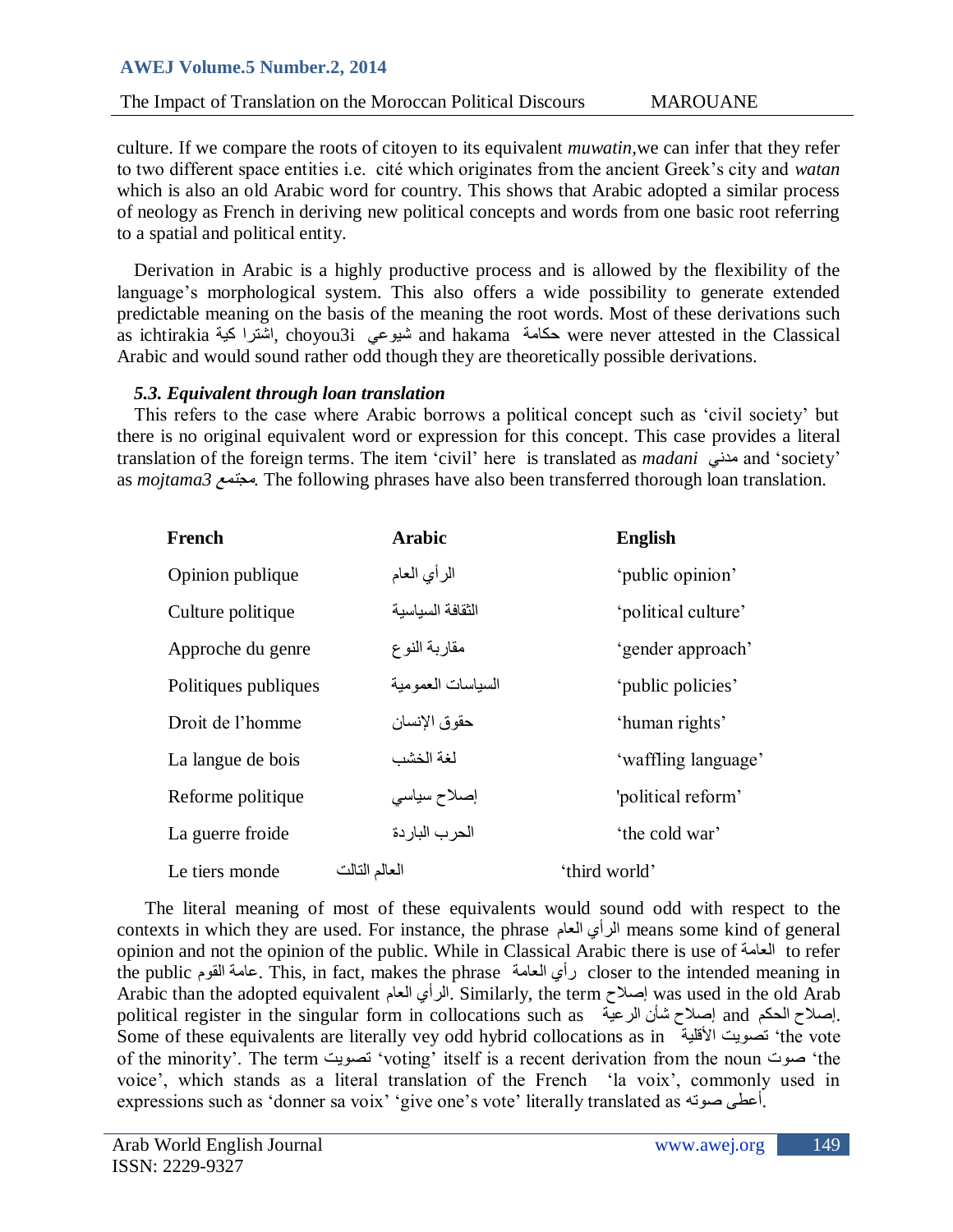The Impact of Translation on the Moroccan Political Discours MAROUANE

culture. If we compare the roots of citoyen to its equivalent *muwatin,*we can infer that they refer to two different space entities i.e. cité which originates from the ancient Greek"s city and *watan* which is also an old Arabic word for country. This shows that Arabic adopted a similar process of neology as French in deriving new political concepts and words from one basic root referring to a spatial and political entity.

Derivation in Arabic is a highly productive process and is allowed by the flexibility of the language's morphological system. This also offers a wide possibility to generate extended predictable meaning on the basis of the meaning the root words. Most of these derivations such as ichtirakia (أشترا كية, choyou3i أَمشورا, choyou3i أَسترا, choyou3i محكامة and hakama حكامة Arabic and would sound rather odd though they are theoretically possible derivations.

## *5.3. Equivalent through loan translation*

This refers to the case where Arabic borrows a political concept such as "civil society" but there is no original equivalent word or expression for this concept. This case provides a literal translation of the foreign terms. The item 'civil' here is translated as *madani*  $\omega$ and 'society' as *mojtama3* مجتمع. The following phrases have also been transferred thorough loan translation.

| French               | <b>Arabic</b>      | <b>English</b>      |
|----------------------|--------------------|---------------------|
| Opinion publique     | الرأي العام        | 'public opinion'    |
| Culture politique    | الثقافة السياسية   | 'political culture' |
| Approche du genre    | مقاربة النوع       | 'gender approach'   |
| Politiques publiques | السياسات العمو مية | 'public policies'   |
| Droit de l'homme     | حقوق الإنسان       | 'human rights'      |
| La langue de bois    | لغة الخشب          | 'waffling language' |
| Reforme politique    | إصلاح سياسى        | 'political reform'  |
| La guerre froide     | الحرب الباردة      | 'the cold war'      |
| Le tiers monde       | العالم التالت      | 'third world'       |

The literal meaning of most of these equivalents would sound odd with respect to the contexts in which they are used. For instance, the phrase العام الرأي means some kind of general opinion and not the opinion of the public. While in Classical Arabic there is use of العاهح to refer the public المىم عاهح. This, in fact, makes the phrase العاهح رأي closer to the intended meaning in Arabic than the adopted equivalent العام الرأي. Similarly, the term إصالح was used in the old Arab political register in the singular form in collocations such as إصلاح الحكم and إصلاح الحكم إصالح شأن الرعية Some of these equivalents are literally vey odd hybrid collocations as in حٍاأللل دٌذصى" the vote of the minority'. The term تصويت 'voting' itself is a recent derivation from the noun صوت the voice", which stands as a literal translation of the French "la voix", commonly used in expressions such as 'donner sa voix' 'give one's vote' literally translated as أعطى صوته.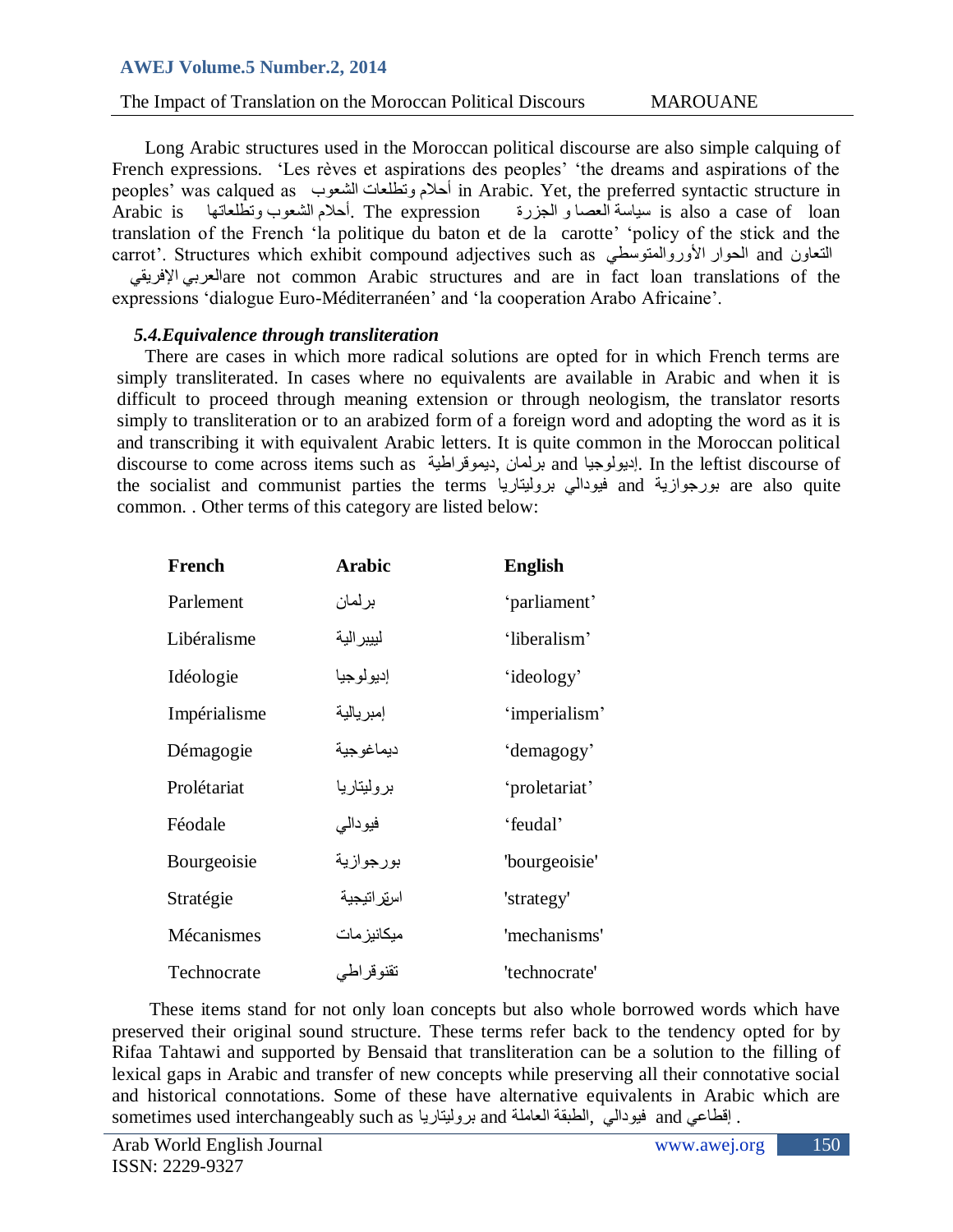The Impact of Translation on the Moroccan Political Discours MAROUANE

Long Arabic structures used in the Moroccan political discourse are also simple calquing of French expressions. 'Les rèves et aspirations des peoples' 'the dreams and aspirations of the peoples" was calqued as الشعىب وذطلعاخ أحالم in Arabic. Yet, the preferred syntactic structure in Arabic is وذطلعاذها الشعىب أحالم. The expression الجسرج و العصا اضحٍض is also a case of loan translation of the French "la politique du baton et de la carotte" "policy of the stick and the carrot'. Structures which exhibit compound adjectives such as ألتعاون and الحوار الأوروالمنوسطى السم

العربي الإفريقي $\alpha$  are not common Arabic structures and are in fact loan translations of the expressions "dialogue Euro-Méditerranéen" and "la cooperation Arabo Africaine".

### *5.4.Equivalence through transliteration*

There are cases in which more radical solutions are opted for in which French terms are simply transliterated. In cases where no equivalents are available in Arabic and when it is difficult to proceed through meaning extension or through neologism, the translator resorts simply to transliteration or to an arabized form of a foreign word and adopting the word as it is and transcribing it with equivalent Arabic letters. It is quite common in the Moroccan political discourse to come across items such as برلمان ,ديموقراطية, تراموان and إديولوجيا). In the leftist discourse of the socialist and communist parties the terms ابورجوازية and فيودالي بروليتاريا and حُتىر أول علم ال common. . Other terms of this category are listed below:

| French       | <b>Arabic</b> | <b>English</b> |
|--------------|---------------|----------------|
| Parlement    | بر لمان       | 'parliament'   |
| Libéralisme  | لييبر الية    | 'liberalism'   |
| Idéologie    | إديولوجيا     | 'ideology'     |
| Impérialisme | إمبريالية     | 'imperialism'  |
| Démagogie    | ديماغوجية     | 'demagogy'     |
| Prolétariat  | بروليتاريا    | 'proletariat'  |
| Féodale      | فيودالمي      | 'feudal'       |
| Bourgeoisie  | بورجوازية     | 'bourgeoisie'  |
| Stratégie    | اسقر اتبجية   | 'strategy'     |
| Mécanismes   | ميكانيز مات   | 'mechanisms'   |
| Technocrate  | تقنوقراطي     | 'technocrate'  |

These items stand for not only loan concepts but also whole borrowed words which have preserved their original sound structure. These terms refer back to the tendency opted for by Rifaa Tahtawi and supported by Bensaid that transliteration can be a solution to the filling of lexical gaps in Arabic and transfer of new concepts while preserving all their connotative social and historical connotations. Some of these have alternative equivalents in Arabic which are sometimes used interchangeably such as بروليناريا and توبوداللي , الطبقة العاملة ل $\,$  and فِيوداللَّي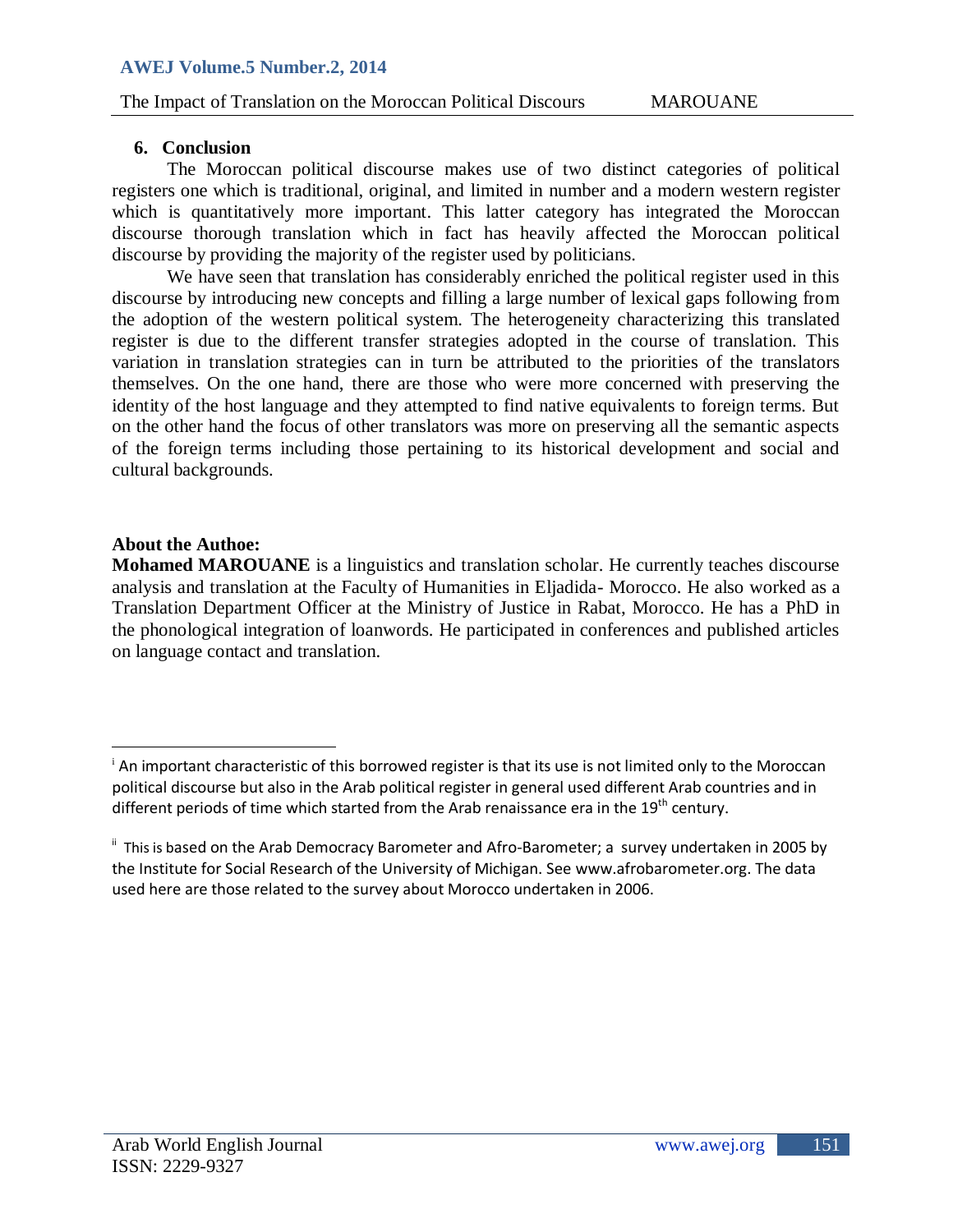## **6. Conclusion**

The Moroccan political discourse makes use of two distinct categories of political registers one which is traditional, original, and limited in number and a modern western register which is quantitatively more important. This latter category has integrated the Moroccan discourse thorough translation which in fact has heavily affected the Moroccan political discourse by providing the majority of the register used by politicians.

We have seen that translation has considerably enriched the political register used in this discourse by introducing new concepts and filling a large number of lexical gaps following from the adoption of the western political system. The heterogeneity characterizing this translated register is due to the different transfer strategies adopted in the course of translation. This variation in translation strategies can in turn be attributed to the priorities of the translators themselves. On the one hand, there are those who were more concerned with preserving the identity of the host language and they attempted to find native equivalents to foreign terms. But on the other hand the focus of other translators was more on preserving all the semantic aspects of the foreign terms including those pertaining to its historical development and social and cultural backgrounds.

## **About the Authoe:**

 $\overline{\phantom{a}}$ 

**Mohamed MAROUANE** is a linguistics and translation scholar. He currently teaches discourse analysis and translation at the Faculty of Humanities in Eljadida- Morocco. He also worked as a Translation Department Officer at the Ministry of Justice in Rabat, Morocco. He has a PhD in the phonological integration of loanwords. He participated in conferences and published articles on language contact and translation.

<sup>&</sup>lt;sup>i</sup> An important characteristic of this borrowed register is that its use is not limited only to the Moroccan political discourse but also in the Arab political register in general used different Arab countries and in different periods of time which started from the Arab renaissance era in the 19<sup>th</sup> century.

<sup>&</sup>quot; This is based on the Arab Democracy Barometer and Afro-Barometer; a survey undertaken in 2005 by the Institute for Social Research of the University of Michigan. See [www.afrobarometer.org.](http://www.afrobarometer.org/) The data used here are those related to the survey about Morocco undertaken in 2006.